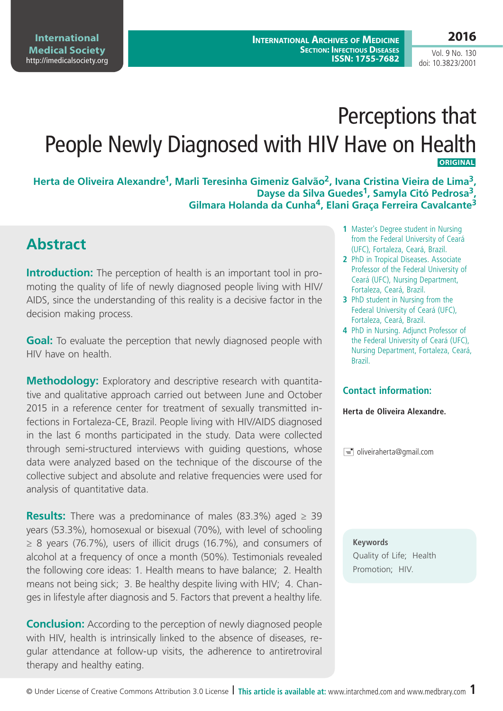Vol. 9 No. 130 doi: 10.3823/2001

# Perceptions that People Newly Diagnosed with HIV Have on Health **ORIGINAL**

**Herta de Oliveira Alexandre1, Marli Teresinha Gimeniz Galvão2, Ivana Cristina Vieira de Lima3, Dayse da Silva Guedes1, Samyla Citó Pedrosa3, Gilmara Holanda da Cunha4, Elani Graça Ferreira Cavalcante3**

# **Abstract**

**Introduction:** The perception of health is an important tool in promoting the quality of life of newly diagnosed people living with HIV/ AIDS, since the understanding of this reality is a decisive factor in the decision making process.

**Goal:** To evaluate the perception that newly diagnosed people with HIV have on health.

**Methodology:** Exploratory and descriptive research with quantitative and qualitative approach carried out between June and October 2015 in a reference center for treatment of sexually transmitted infections in Fortaleza-CE, Brazil. People living with HIV/AIDS diagnosed in the last 6 months participated in the study. Data were collected through semi-structured interviews with guiding questions, whose data were analyzed based on the technique of the discourse of the collective subject and absolute and relative frequencies were used for analysis of quantitative data.

**Results:** There was a predominance of males (83.3%) aged ≥ 39 years (53.3%), homosexual or bisexual (70%), with level of schooling  $\geq$  8 years (76.7%), users of illicit drugs (16.7%), and consumers of alcohol at a frequency of once a month (50%). Testimonials revealed the following core ideas: 1. Health means to have balance; 2. Health means not being sick; 3. Be healthy despite living with HIV; 4. Changes in lifestyle after diagnosis and 5. Factors that prevent a healthy life.

**Conclusion:** According to the perception of newly diagnosed people with HIV, health is intrinsically linked to the absence of diseases, regular attendance at follow-up visits, the adherence to antiretroviral therapy and healthy eating.

- **1** Master's Degree student in Nursing from the Federal University of Ceará (UFC), Fortaleza, Ceará, Brazil.
- **2** PhD in Tropical Diseases. Associate Professor of the Federal University of Ceará (UFC), Nursing Department, Fortaleza, Ceará, Brazil.
- **3** PhD student in Nursing from the Federal University of Ceará (UFC), Fortaleza, Ceará, Brazil.
- **4** PhD in Nursing. Adjunct Professor of the Federal University of Ceará (UFC), Nursing Department, Fortaleza, Ceará, Brazil.

#### **Contact information:**

**Herta de Oliveira Alexandre.**

oliveiraherta@gmail.com

**Keywords**

Quality of Life; Health Promotion; HIV.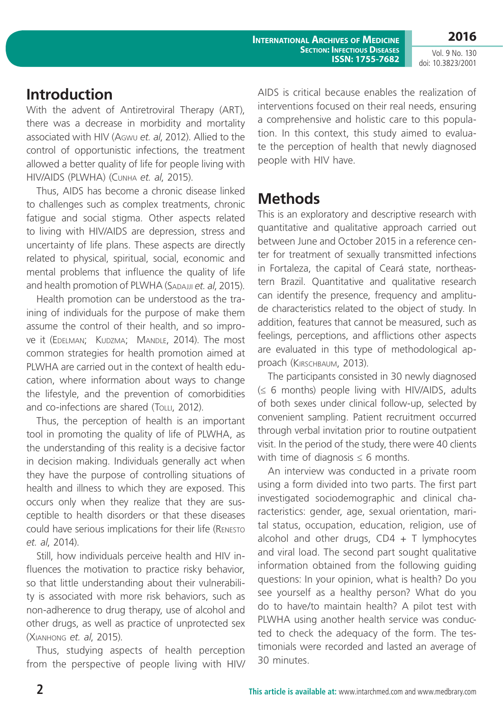**International Archives of Medicine Section: Infectious Diseases ISSN: 1755-7682** **2016**

Vol. 9 No. 130 doi: 10.3823/2001

# **Introduction**

With the advent of Antiretroviral Therapy (ART), there was a decrease in morbidity and mortality associated with HIV (Agwu *et. al*, 2012). Allied to the control of opportunistic infections, the treatment allowed a better quality of life for people living with HIV/AIDS (PLWHA) (Cunha *et. al*, 2015).

Thus, AIDS has become a chronic disease linked to challenges such as complex treatments, chronic fatigue and social stigma. Other aspects related to living with HIV/AIDS are depression, stress and uncertainty of life plans. These aspects are directly related to physical, spiritual, social, economic and mental problems that influence the quality of life and health promotion of PLWHA (SADAJJI *et. al.* 2015).

Health promotion can be understood as the training of individuals for the purpose of make them assume the control of their health, and so improve it (EDELMAN; KUDZMA; MANDLE, 2014). The most common strategies for health promotion aimed at PLWHA are carried out in the context of health education, where information about ways to change the lifestyle, and the prevention of comorbidities and co-infections are shared (ToLLI, 2012).

Thus, the perception of health is an important tool in promoting the quality of life of PLWHA, as the understanding of this reality is a decisive factor in decision making. Individuals generally act when they have the purpose of controlling situations of health and illness to which they are exposed. This occurs only when they realize that they are susceptible to health disorders or that these diseases could have serious implications for their life (Renesto *et. al*, 2014).

Still, how individuals perceive health and HIV influences the motivation to practice risky behavior, so that little understanding about their vulnerability is associated with more risk behaviors, such as non-adherence to drug therapy, use of alcohol and other drugs, as well as practice of unprotected sex (Xianhong *et. al*, 2015).

Thus, studying aspects of health perception from the perspective of people living with HIV/ AIDS is critical because enables the realization of interventions focused on their real needs, ensuring a comprehensive and holistic care to this population. In this context, this study aimed to evaluate the perception of health that newly diagnosed people with HIV have.

# **Methods**

This is an exploratory and descriptive research with quantitative and qualitative approach carried out between June and October 2015 in a reference center for treatment of sexually transmitted infections in Fortaleza, the capital of Ceará state, northeastern Brazil. Quantitative and qualitative research can identify the presence, frequency and amplitude characteristics related to the object of study. In addition, features that cannot be measured, such as feelings, perceptions, and afflictions other aspects are evaluated in this type of methodological approach (KIRSCHBAUM, 2013).

The participants consisted in 30 newly diagnosed (≤ 6 months) people living with HIV/AIDS, adults of both sexes under clinical follow-up, selected by convenient sampling. Patient recruitment occurred through verbal invitation prior to routine outpatient visit. In the period of the study, there were 40 clients with time of diagnosis  $\leq 6$  months.

An interview was conducted in a private room using a form divided into two parts. The first part investigated sociodemographic and clinical characteristics: gender, age, sexual orientation, marital status, occupation, education, religion, use of alcohol and other drugs,  $CD4 + T$  lymphocytes and viral load. The second part sought qualitative information obtained from the following guiding questions: In your opinion, what is health? Do you see yourself as a healthy person? What do you do to have/to maintain health? A pilot test with PLWHA using another health service was conducted to check the adequacy of the form. The testimonials were recorded and lasted an average of 30 minutes.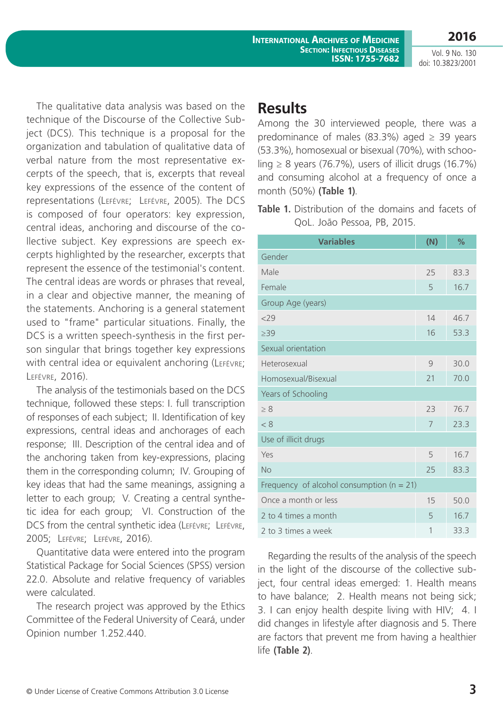Vol. 9 No. 130 doi: 10.3823/2001

**2016**

The qualitative data analysis was based on the technique of the Discourse of the Collective Subject (DCS). This technique is a proposal for the organization and tabulation of qualitative data of verbal nature from the most representative excerpts of the speech, that is, excerpts that reveal key expressions of the essence of the content of representations (Lefévre; Lefévre, 2005). The DCS is composed of four operators: key expression, central ideas, anchoring and discourse of the collective subject. Key expressions are speech excerpts highlighted by the researcher, excerpts that represent the essence of the testimonial's content. The central ideas are words or phrases that reveal, in a clear and objective manner, the meaning of the statements. Anchoring is a general statement used to "frame" particular situations. Finally, the DCS is a written speech-synthesis in the first person singular that brings together key expressions with central idea or equivalent anchoring (LEFÉVRE; Lefévre, 2016).

The analysis of the testimonials based on the DCS technique, followed these steps: I. full transcription of responses of each subject; II. Identification of key expressions, central ideas and anchorages of each response; III. Description of the central idea and of the anchoring taken from key-expressions, placing them in the corresponding column; IV. Grouping of key ideas that had the same meanings, assigning a letter to each group; V. Creating a central synthetic idea for each group; VI. Construction of the DCS from the central synthetic idea (LEFÉVRE; LEFÉVRE, 2005; Lefévre; Lefévre, 2016).

Quantitative data were entered into the program Statistical Package for Social Sciences (SPSS) version 22.0. Absolute and relative frequency of variables were calculated.

The research project was approved by the Ethics Committee of the Federal University of Ceará, under Opinion number 1.252.440.

### **Results**

Among the 30 interviewed people, there was a predominance of males (83.3%) aged  $\geq$  39 years (53.3%), homosexual or bisexual (70%), with schooling  $\geq$  8 years (76.7%), users of illicit drugs (16.7%) and consuming alcohol at a frequency of once a month (50%) **(Table 1)**.

**Table 1.** Distribution of the domains and facets of QoL. João Pessoa, PB, 2015.

| <b>Variables</b>                              | (N)            | %    |
|-----------------------------------------------|----------------|------|
| Gender                                        |                |      |
| Male                                          | 25             | 83.3 |
| Female                                        | 5              | 16.7 |
| Group Age (years)                             |                |      |
| 229                                           | 14             | 46.7 |
| $\geq$ 39                                     | 16             | 53.3 |
| Sexual orientation                            |                |      |
| Heterosexual                                  | 9              | 30.0 |
| Homosexual/Bisexual                           | 21             | 70.0 |
| Years of Schooling                            |                |      |
| > 8                                           | 23             | 76.7 |
| < 8                                           | $\overline{7}$ | 23.3 |
| Use of illicit drugs                          |                |      |
| Yes                                           | 5              | 16.7 |
| No                                            | 25             | 83.3 |
| Frequency of alcohol consumption ( $n = 21$ ) |                |      |
| Once a month or less                          | 15             | 50.0 |
| 2 to 4 times a month                          | 5              | 16.7 |
| 2 to 3 times a week                           | 1              | 33.3 |

Regarding the results of the analysis of the speech in the light of the discourse of the collective subject, four central ideas emerged: 1. Health means to have balance; 2. Health means not being sick; 3. I can enjoy health despite living with HIV; 4. I did changes in lifestyle after diagnosis and 5. There are factors that prevent me from having a healthier life **(Table 2)**.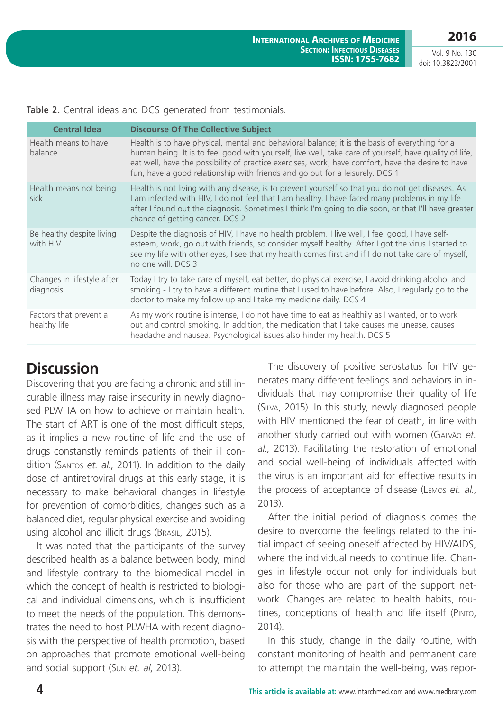**2016**

Vol. 9 No. 130 doi: 10.3823/2001

| <b>Central Idea</b>                     | <b>Discourse Of The Collective Subject</b>                                                                                                                                                                                                                                                                                                                                                    |
|-----------------------------------------|-----------------------------------------------------------------------------------------------------------------------------------------------------------------------------------------------------------------------------------------------------------------------------------------------------------------------------------------------------------------------------------------------|
| Health means to have<br>balance         | Health is to have physical, mental and behavioral balance; it is the basis of everything for a<br>human being. It is to feel good with yourself, live well, take care of yourself, have quality of life,<br>eat well, have the possibility of practice exercises, work, have comfort, have the desire to have<br>fun, have a good relationship with friends and go out for a leisurely. DCS 1 |
| Health means not being<br>sick          | Health is not living with any disease, is to prevent yourself so that you do not get diseases. As<br>I am infected with HIV, I do not feel that I am healthy. I have faced many problems in my life<br>after I found out the diagnosis. Sometimes I think I'm going to die soon, or that I'll have greater<br>chance of getting cancer. DCS 2                                                 |
| Be healthy despite living<br>with HIV   | Despite the diagnosis of HIV, I have no health problem. I live well, I feel good, I have self-<br>esteem, work, go out with friends, so consider myself healthy. After I got the virus I started to<br>see my life with other eyes, I see that my health comes first and if I do not take care of myself,<br>no one will. DCS 3                                                               |
| Changes in lifestyle after<br>diagnosis | Today I try to take care of myself, eat better, do physical exercise, I avoid drinking alcohol and<br>smoking - I try to have a different routine that I used to have before. Also, I regularly go to the<br>doctor to make my follow up and I take my medicine daily. DCS 4                                                                                                                  |
| Factors that prevent a<br>healthy life  | As my work routine is intense, I do not have time to eat as healthily as I wanted, or to work<br>out and control smoking. In addition, the medication that I take causes me unease, causes<br>headache and nausea. Psychological issues also hinder my health. DCS 5                                                                                                                          |

**Table 2.** Central ideas and DCS generated from testimonials.

# **Discussion**

Discovering that you are facing a chronic and still incurable illness may raise insecurity in newly diagnosed PLWHA on how to achieve or maintain health. The start of ART is one of the most difficult steps, as it implies a new routine of life and the use of drugs constanstly reminds patients of their ill condition (Santos *et. al*., 2011). In addition to the daily dose of antiretroviral drugs at this early stage, it is necessary to make behavioral changes in lifestyle for prevention of comorbidities, changes such as a balanced diet, regular physical exercise and avoiding using alcohol and illicit drugs (Brasil, 2015).

It was noted that the participants of the survey described health as a balance between body, mind and lifestyle contrary to the biomedical model in which the concept of health is restricted to biological and individual dimensions, which is insufficient to meet the needs of the population. This demonstrates the need to host PLWHA with recent diagnosis with the perspective of health promotion, based on approaches that promote emotional well-being and social support (Sun *et. al*, 2013).

The discovery of positive serostatus for HIV generates many different feelings and behaviors in individuals that may compromise their quality of life (Silva, 2015). In this study, newly diagnosed people with HIV mentioned the fear of death, in line with another study carried out with women (Galvão *et. al*., 2013). Facilitating the restoration of emotional and social well-being of individuals affected with the virus is an important aid for effective results in the process of acceptance of disease (Lemos *et. al*., 2013).

After the initial period of diagnosis comes the desire to overcome the feelings related to the initial impact of seeing oneself affected by HIV/AIDS, where the individual needs to continue life. Changes in lifestyle occur not only for individuals but also for those who are part of the support network. Changes are related to health habits, routines, conceptions of health and life itself (Pinto, 2014).

In this study, change in the daily routine, with constant monitoring of health and permanent care to attempt the maintain the well-being, was repor-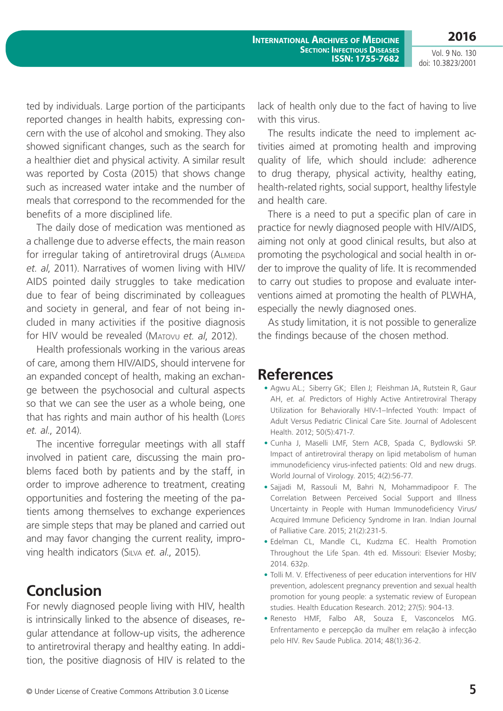**2016**

Vol. 9 No. 130 doi: 10.3823/2001

ted by individuals. Large portion of the participants reported changes in health habits, expressing concern with the use of alcohol and smoking. They also showed significant changes, such as the search for a healthier diet and physical activity. A similar result was reported by Costa (2015) that shows change such as increased water intake and the number of meals that correspond to the recommended for the benefits of a more disciplined life.

The daily dose of medication was mentioned as a challenge due to adverse effects, the main reason for irregular taking of antiretroviral drugs (ALMEIDA *et. al*, 2011). Narratives of women living with HIV/ AIDS pointed daily struggles to take medication due to fear of being discriminated by colleagues and society in general, and fear of not being included in many activities if the positive diagnosis for HIV would be revealed (Matovu *et. al*, 2012).

Health professionals working in the various areas of care, among them HIV/AIDS, should intervene for an expanded concept of health, making an exchange between the psychosocial and cultural aspects so that we can see the user as a whole being, one that has rights and main author of his health (Lopes *et. al*., 2014).

The incentive forregular meetings with all staff involved in patient care, discussing the main problems faced both by patients and by the staff, in order to improve adherence to treatment, creating opportunities and fostering the meeting of the patients among themselves to exchange experiences are simple steps that may be planed and carried out and may favor changing the current reality, improving health indicators (Silva *et. al*., 2015).

### **Conclusion**

For newly diagnosed people living with HIV, health is intrinsically linked to the absence of diseases, regular attendance at follow-up visits, the adherence to antiretroviral therapy and healthy eating. In addition, the positive diagnosis of HIV is related to the lack of health only due to the fact of having to live with this virus.

The results indicate the need to implement activities aimed at promoting health and improving quality of life, which should include: adherence to drug therapy, physical activity, healthy eating, health-related rights, social support, healthy lifestyle and health care.

There is a need to put a specific plan of care in practice for newly diagnosed people with HIV/AIDS, aiming not only at good clinical results, but also at promoting the psychological and social health in order to improve the quality of life. It is recommended to carry out studies to propose and evaluate interventions aimed at promoting the health of PLWHA, especially the newly diagnosed ones.

As study limitation, it is not possible to generalize the findings because of the chosen method.

#### **References**

- **•** Agwu AL.; Siberry GK; Ellen J; Fleishman JA, Rutstein R, Gaur AH, *et. al*. Predictors of Highly Active Antiretroviral Therapy Utilization for Behaviorally HIV-1–Infected Youth: Impact of Adult Versus Pediatric Clinical Care Site. Journal of Adolescent Health. 2012; 50(5):471-7.
- **•** Cunha J, Maselli LMF, Stern ACB, Spada C, Bydlowski SP. Impact of antiretroviral therapy on lipid metabolism of human immunodeficiency virus-infected patients: Old and new drugs. World Journal of Virology. 2015; 4(2):56-77.
- **•** Sajjadi M, Rassouli M, Bahri N, Mohammadipoor F. The Correlation Between Perceived Social Support and Illness Uncertainty in People with Human Immunodeficiency Virus/ Acquired Immune Deficiency Syndrome in Iran. Indian Journal of Palliative Care. 2015; 21(2):231-5.
- **•** Edelman CL, Mandle CL, Kudzma EC. Health Promotion Throughout the Life Span. 4th ed. Missouri: Elsevier Mosby; 2014. 632p.
- **•** Tolli M. V. Effectiveness of peer education interventions for HIV prevention, adolescent pregnancy prevention and sexual health promotion for young people: a systematic review of European studies. Health Education Research. 2012; 27(5): 904-13.
- **•** Renesto HMF, Falbo AR, Souza E, Vasconcelos MG. Enfrentamento e percepção da mulher em relação à infecção pelo HIV. Rev Saude Publica. 2014; 48(1):36-2.